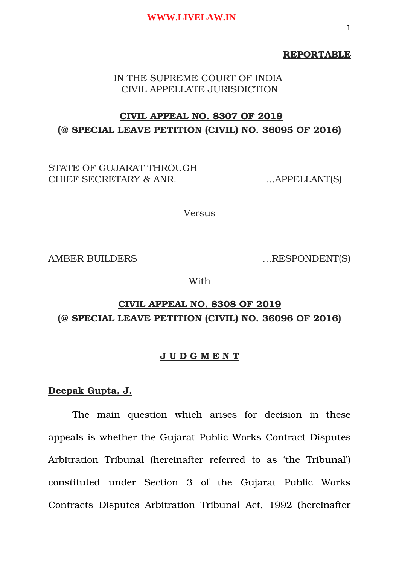## **REPORTABLE**

IN THE SUPREME COURT OF INDIA CIVIL APPELLATE JURISDICTION

# **CIVIL APPEAL NO. 8307 OF 2019 (@ SPECIAL LEAVE PETITION (CIVIL) NO. 36095 OF 2016)**

STATE OF GUJARAT THROUGH CHIEF SECRETARY & ANR. ... APPELLANT(S)

Versus

AMBER BUILDERS ....RESPONDENT(S)

With

# **CIVIL APPEAL NO. 8308 OF 2019 (@ SPECIAL LEAVE PETITION (CIVIL) NO. 36096 OF 2016)**

# **J U D G M E N T**

# **Deepak Gupta, J.**

The main question which arises for decision in these appeals is whether the Gujarat Public Works Contract Disputes Arbitration Tribunal (hereinafter referred to as 'the Tribunal') constituted under Section 3 of the Gujarat Public Works Contracts Disputes Arbitration Tribunal Act, 1992 (hereinafter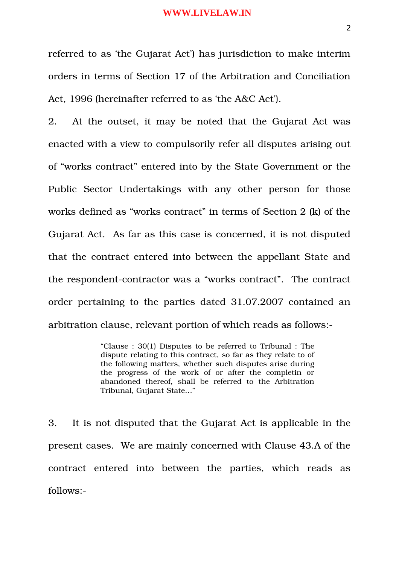referred to as 'the Gujarat Act') has jurisdiction to make interim orders in terms of Section 17 of the Arbitration and Conciliation Act, 1996 (hereinafter referred to as 'the A&C Act').

2. At the outset, it may be noted that the Gujarat Act was enacted with a view to compulsorily refer all disputes arising out of "works contract" entered into by the State Government or the Public Sector Undertakings with any other person for those works defined as "works contract" in terms of Section 2 (k) of the Gujarat Act. As far as this case is concerned, it is not disputed that the contract entered into between the appellant State and the respondent-contractor was a "works contract". The contract order pertaining to the parties dated 31.07.2007 contained an arbitration clause, relevant portion of which reads as follows:

> "Clause : 30(1) Disputes to be referred to Tribunal : The dispute relating to this contract, so far as they relate to of the following matters, whether such disputes arise during the progress of the work of or after the completin or abandoned thereof, shall be referred to the Arbitration Tribunal, Gujarat State…"

3. It is not disputed that the Gujarat Act is applicable in the present cases. We are mainly concerned with Clause 43.A of the contract entered into between the parties, which reads as follows: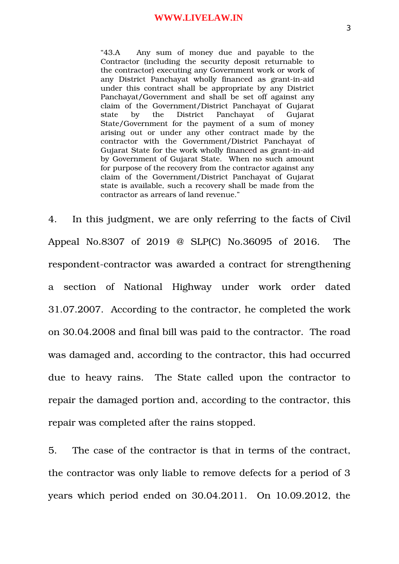"43.A Any sum of money due and payable to the Contractor (including the security deposit returnable to the contractor) executing any Government work or work of any District Panchayat wholly financed as grant-in-aid under this contract shall be appropriate by any District Panchayat/Government and shall be set off against any claim of the Government/District Panchayat of Gujarat state by the District Panchayat of Gujarat State/Government for the payment of a sum of money arising out or under any other contract made by the contractor with the Government/District Panchayat of Gujarat State for the work wholly financed as grant-in-aid by Government of Gujarat State. When no such amount for purpose of the recovery from the contractor against any claim of the Government/District Panchayat of Gujarat state is available, such a recovery shall be made from the contractor as arrears of land revenue."

4. In this judgment, we are only referring to the facts of Civil Appeal No.8307 of 2019 @ SLP(C) No.36095 of 2016. The respondent-contractor was awarded a contract for strengthening a section of National Highway under work order dated 31.07.2007. According to the contractor, he completed the work on 30.04.2008 and final bill was paid to the contractor. The road was damaged and, according to the contractor, this had occurred due to heavy rains. The State called upon the contractor to repair the damaged portion and, according to the contractor, this repair was completed after the rains stopped.

5. The case of the contractor is that in terms of the contract, the contractor was only liable to remove defects for a period of 3 years which period ended on 30.04.2011. On 10.09.2012, the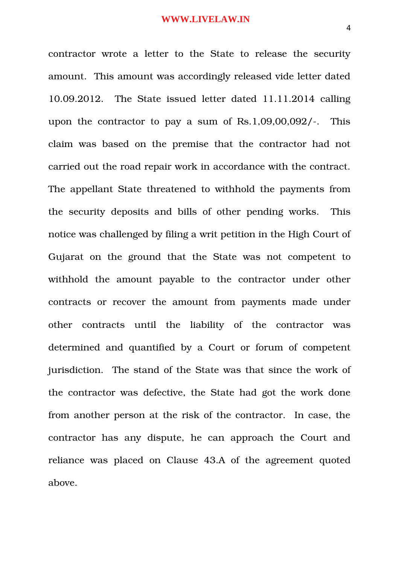contractor wrote a letter to the State to release the security amount. This amount was accordingly released vide letter dated 10.09.2012. The State issued letter dated 11.11.2014 calling upon the contractor to pay a sum of Rs.1,09,00,092/. This claim was based on the premise that the contractor had not carried out the road repair work in accordance with the contract. The appellant State threatened to withhold the payments from the security deposits and bills of other pending works. This notice was challenged by filing a writ petition in the High Court of Gujarat on the ground that the State was not competent to withhold the amount payable to the contractor under other contracts or recover the amount from payments made under other contracts until the liability of the contractor was determined and quantified by a Court or forum of competent jurisdiction. The stand of the State was that since the work of the contractor was defective, the State had got the work done from another person at the risk of the contractor. In case, the contractor has any dispute, he can approach the Court and reliance was placed on Clause 43.A of the agreement quoted above.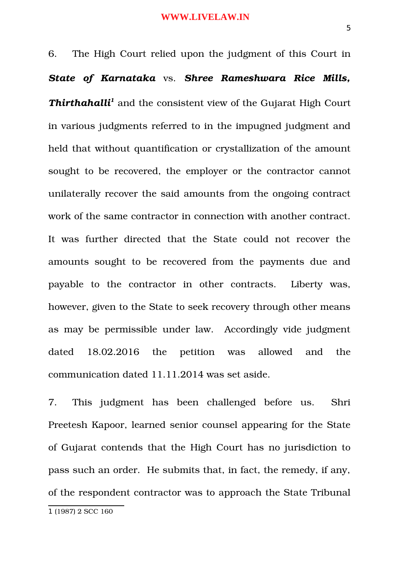6. The High Court relied upon the judgment of this Court in *State of Karnataka* vs. *Shree Rameshwara Rice Mills,* Thirthahalli<sup>[1](#page-4-0)</sup> and the consistent view of the Gujarat High Court in various judgments referred to in the impugned judgment and held that without quantification or crystallization of the amount sought to be recovered, the employer or the contractor cannot unilaterally recover the said amounts from the ongoing contract work of the same contractor in connection with another contract. It was further directed that the State could not recover the amounts sought to be recovered from the payments due and payable to the contractor in other contracts. Liberty was, however, given to the State to seek recovery through other means as may be permissible under law. Accordingly vide judgment dated 18.02.2016 the petition was allowed and the communication dated 11.11.2014 was set aside.

7. This judgment has been challenged before us. Shri Preetesh Kapoor, learned senior counsel appearing for the State of Gujarat contends that the High Court has no jurisdiction to pass such an order. He submits that, in fact, the remedy, if any, of the respondent contractor was to approach the State Tribunal

<span id="page-4-0"></span><sup>1</sup> (1987) 2 SCC 160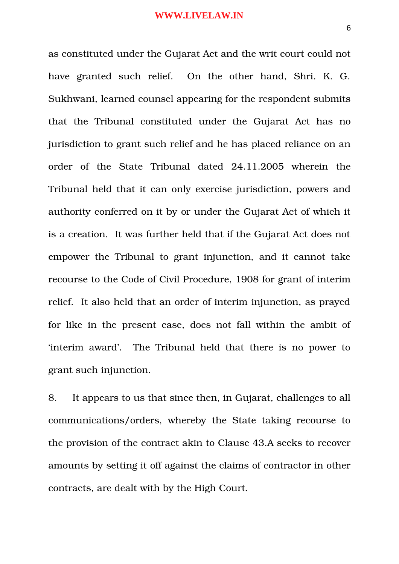as constituted under the Gujarat Act and the writ court could not have granted such relief. On the other hand, Shri. K. G. Sukhwani, learned counsel appearing for the respondent submits that the Tribunal constituted under the Gujarat Act has no jurisdiction to grant such relief and he has placed reliance on an order of the State Tribunal dated 24.11.2005 wherein the Tribunal held that it can only exercise jurisdiction, powers and authority conferred on it by or under the Gujarat Act of which it is a creation. It was further held that if the Gujarat Act does not empower the Tribunal to grant injunction, and it cannot take recourse to the Code of Civil Procedure, 1908 for grant of interim relief. It also held that an order of interim injunction, as prayed for like in the present case, does not fall within the ambit of 'interim award'. The Tribunal held that there is no power to grant such injunction.

8. It appears to us that since then, in Gujarat, challenges to all communications/orders, whereby the State taking recourse to the provision of the contract akin to Clause 43.A seeks to recover amounts by setting it off against the claims of contractor in other contracts, are dealt with by the High Court.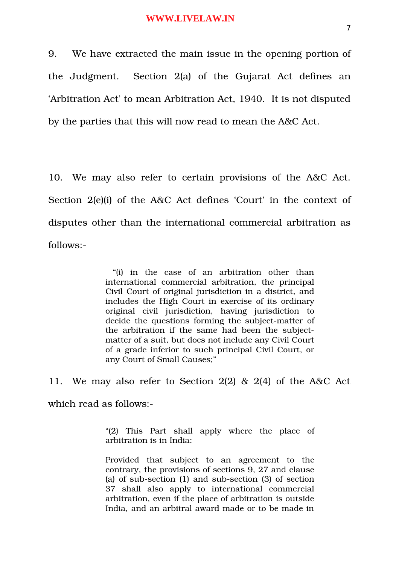9. We have extracted the main issue in the opening portion of the Judgment. Section 2(a) of the Gujarat Act defines an 'Arbitration Act' to mean Arbitration Act, 1940. It is not disputed by the parties that this will now read to mean the A&C Act.

10. We may also refer to certain provisions of the A&C Act. Section 2(e)(i) of the A&C Act defines 'Court' in the context of disputes other than the international commercial arbitration as follows:

> "(i) in the case of an arbitration other than international commercial arbitration, the principal Civil Court of original jurisdiction in a district, and includes the High Court in exercise of its ordinary original civil jurisdiction, having jurisdiction to decide the questions forming the subject-matter of the arbitration if the same had been the subjectmatter of a suit, but does not include any Civil Court of a grade inferior to such principal Civil Court, or any Court of Small Causes;"

11. We may also refer to Section 2(2) & 2(4) of the A&C Act which read as follows:

> "(2) This Part shall apply where the place of arbitration is in India:

> Provided that subject to an agreement to the contrary, the provisions of sections 9, 27 and clause (a) of sub-section  $(1)$  and sub-section  $(3)$  of section 37 shall also apply to international commercial arbitration, even if the place of arbitration is outside India, and an arbitral award made or to be made in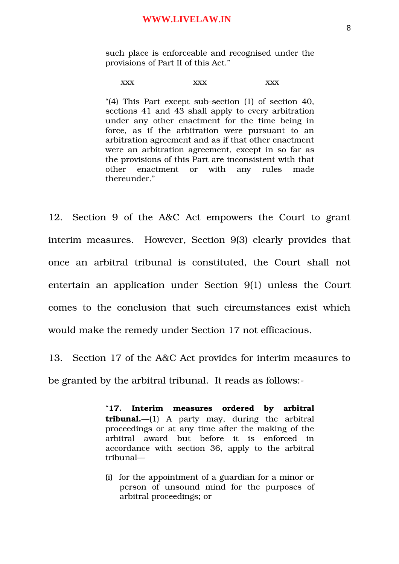such place is enforceable and recognised under the provisions of Part II of this Act."

#### xxx xxx xxx xxx

"(4) This Part except sub-section (1) of section 40, sections 41 and 43 shall apply to every arbitration under any other enactment for the time being in force, as if the arbitration were pursuant to an arbitration agreement and as if that other enactment were an arbitration agreement, except in so far as the provisions of this Part are inconsistent with that other enactment or with any rules made thereunder."

12. Section 9 of the A&C Act empowers the Court to grant interim measures. However, Section 9(3) clearly provides that once an arbitral tribunal is constituted, the Court shall not entertain an application under Section 9(1) unless the Court comes to the conclusion that such circumstances exist which would make the remedy under Section 17 not efficacious.

13. Section 17 of the A&C Act provides for interim measures to be granted by the arbitral tribunal. It reads as follows:

> "**17. Interim measures ordered by arbitral**  $tribunal.$ — $(1)$  A party may, during the arbitral proceedings or at any time after the making of the arbitral award but before it is enforced in accordance with section 36, apply to the arbitral tribunal—

> (i) for the appointment of a guardian for a minor or person of unsound mind for the purposes of arbitral proceedings; or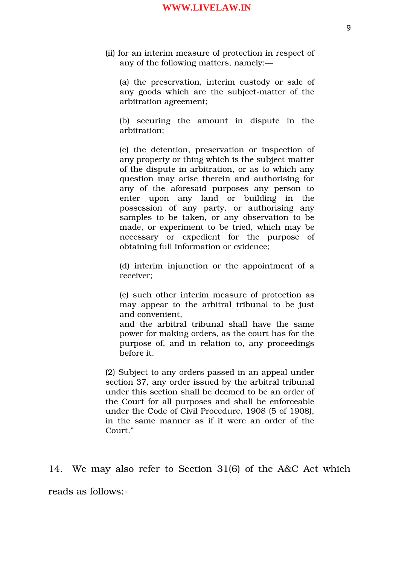(ii) for an interim measure of protection in respect of any of the following matters, namely:—

(a) the preservation, interim custody or sale of any goods which are the subject-matter of the arbitration agreement;

(b) securing the amount in dispute in the arbitration;

(c) the detention, preservation or inspection of any property or thing which is the subject-matter of the dispute in arbitration, or as to which any question may arise therein and authorising for any of the aforesaid purposes any person to enter upon any land or building in the possession of any party, or authorising any samples to be taken, or any observation to be made, or experiment to be tried, which may be necessary or expedient for the purpose of obtaining full information or evidence;

(d) interim injunction or the appointment of a receiver;

(e) such other interim measure of protection as may appear to the arbitral tribunal to be just and convenient,

and the arbitral tribunal shall have the same power for making orders, as the court has for the purpose of, and in relation to, any proceedings before it.

(2) Subject to any orders passed in an appeal under section 37, any order issued by the arbitral tribunal under this section shall be deemed to be an order of the Court for all purposes and shall be enforceable under the Code of Civil Procedure, 1908 (5 of 1908), in the same manner as if it were an order of the Court."

14. We may also refer to Section 31(6) of the A&C Act which

reads as follows: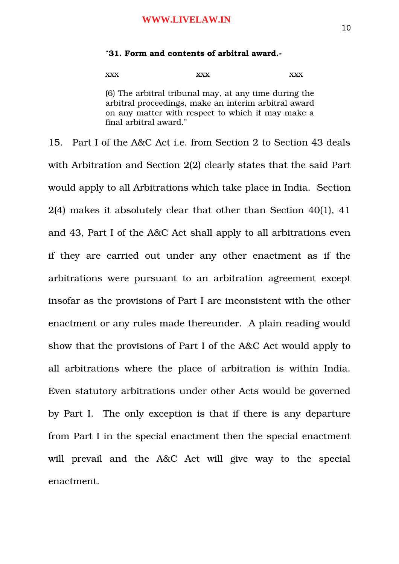#### "**31. Form and contents of arbitral award.**

xxx xxx xxx xxx

(6) The arbitral tribunal may, at any time during the arbitral proceedings, make an interim arbitral award on any matter with respect to which it may make a final arbitral award."

15. Part I of the A&C Act i.e. from Section 2 to Section 43 deals with Arbitration and Section 2(2) clearly states that the said Part would apply to all Arbitrations which take place in India. Section 2(4) makes it absolutely clear that other than Section 40(1), 41 and 43, Part I of the A&C Act shall apply to all arbitrations even if they are carried out under any other enactment as if the arbitrations were pursuant to an arbitration agreement except insofar as the provisions of Part I are inconsistent with the other enactment or any rules made thereunder. A plain reading would show that the provisions of Part I of the A&C Act would apply to all arbitrations where the place of arbitration is within India. Even statutory arbitrations under other Acts would be governed by Part I. The only exception is that if there is any departure from Part I in the special enactment then the special enactment will prevail and the A&C Act will give way to the special enactment.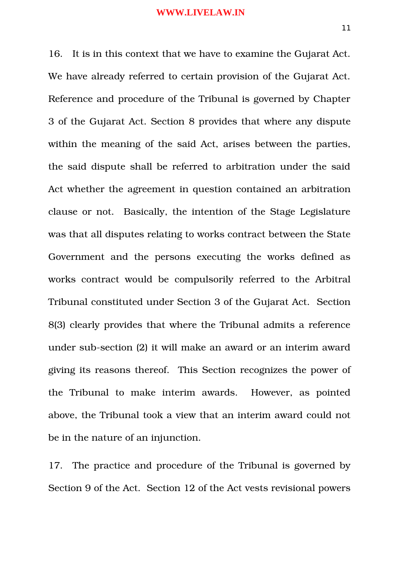16. It is in this context that we have to examine the Gujarat Act. We have already referred to certain provision of the Gujarat Act. Reference and procedure of the Tribunal is governed by Chapter 3 of the Gujarat Act. Section 8 provides that where any dispute within the meaning of the said Act, arises between the parties, the said dispute shall be referred to arbitration under the said Act whether the agreement in question contained an arbitration clause or not. Basically, the intention of the Stage Legislature was that all disputes relating to works contract between the State Government and the persons executing the works defined as works contract would be compulsorily referred to the Arbitral Tribunal constituted under Section 3 of the Gujarat Act. Section 8(3) clearly provides that where the Tribunal admits a reference under sub-section (2) it will make an award or an interim award giving its reasons thereof. This Section recognizes the power of the Tribunal to make interim awards. However, as pointed above, the Tribunal took a view that an interim award could not be in the nature of an injunction.

17. The practice and procedure of the Tribunal is governed by Section 9 of the Act. Section 12 of the Act vests revisional powers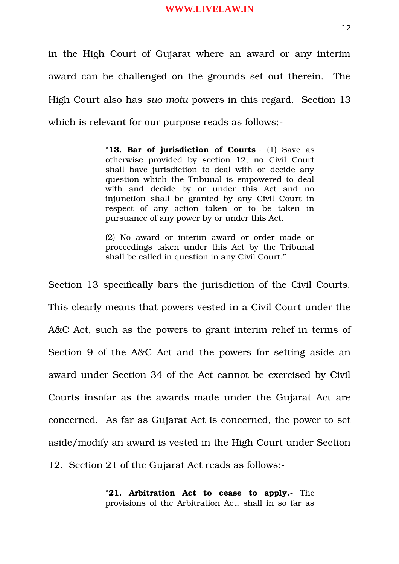in the High Court of Gujarat where an award or any interim award can be challenged on the grounds set out therein. The High Court also has *suo motu* powers in this regard. Section 13 which is relevant for our purpose reads as follows:

> "**13. Bar of jurisdiction of Courts**. (1) Save as otherwise provided by section 12, no Civil Court shall have jurisdiction to deal with or decide any question which the Tribunal is empowered to deal with and decide by or under this Act and no injunction shall be granted by any Civil Court in respect of any action taken or to be taken in pursuance of any power by or under this Act.

> (2) No award or interim award or order made or proceedings taken under this Act by the Tribunal shall be called in question in any Civil Court."

Section 13 specifically bars the jurisdiction of the Civil Courts. This clearly means that powers vested in a Civil Court under the A&C Act, such as the powers to grant interim relief in terms of Section 9 of the A&C Act and the powers for setting aside an award under Section 34 of the Act cannot be exercised by Civil Courts insofar as the awards made under the Gujarat Act are concerned. As far as Gujarat Act is concerned, the power to set aside/modify an award is vested in the High Court under Section 12. Section 21 of the Gujarat Act reads as follows:

> "**21. Arbitration Act to cease to apply.** The provisions of the Arbitration Act, shall in so far as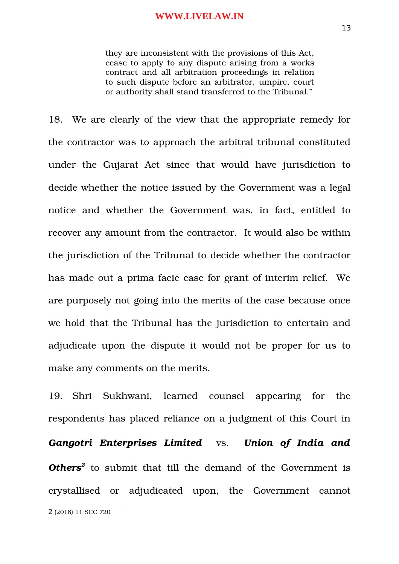they are inconsistent with the provisions of this Act, cease to apply to any dispute arising from a works contract and all arbitration proceedings in relation to such dispute before an arbitrator, umpire, court or authority shall stand transferred to the Tribunal."

18. We are clearly of the view that the appropriate remedy for the contractor was to approach the arbitral tribunal constituted under the Gujarat Act since that would have jurisdiction to decide whether the notice issued by the Government was a legal notice and whether the Government was, in fact, entitled to recover any amount from the contractor. It would also be within the jurisdiction of the Tribunal to decide whether the contractor has made out a prima facie case for grant of interim relief. We are purposely not going into the merits of the case because once we hold that the Tribunal has the jurisdiction to entertain and adjudicate upon the dispute it would not be proper for us to make any comments on the merits.

19. Shri Sukhwani, learned counsel appearing for the respondents has placed reliance on a judgment of this Court in *Gangotri Enterprises Limited* vs. *Union of India and Others[2](#page-12-0)* to submit that till the demand of the Government is crystallised or adjudicated upon, the Government cannot

<span id="page-12-0"></span><sup>2</sup> (2016) 11 SCC 720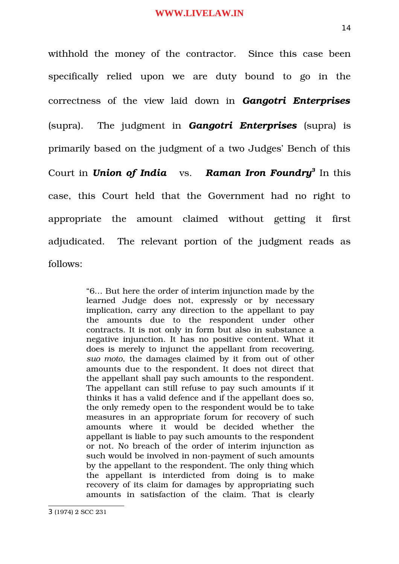withhold the money of the contractor. Since this case been specifically relied upon we are duty bound to go in the correctness of the view laid down in *Gangotri Enterprises* (supra). The judgment in *Gangotri Enterprises* (supra) is primarily based on the judgment of a two Judges' Bench of this Court in *Union of India* vs. Raman Iron Foundry<sup>[3](#page-13-0)</sup> In this case, this Court held that the Government had no right to appropriate the amount claimed without getting it first adjudicated. The relevant portion of the judgment reads as follows:

> "6… But here the order of interim injunction made by the learned Judge does not, expressly or by necessary implication, carry any direction to the appellant to pay the amounts due to the respondent under other contracts. It is not only in form but also in substance a negative injunction. It has no positive content. What it does is merely to injunct the appellant from recovering, *suo moto*, the damages claimed by it from out of other amounts due to the respondent. It does not direct that the appellant shall pay such amounts to the respondent. The appellant can still refuse to pay such amounts if it thinks it has a valid defence and if the appellant does so, the only remedy open to the respondent would be to take measures in an appropriate forum for recovery of such amounts where it would be decided whether the appellant is liable to pay such amounts to the respondent or not. No breach of the order of interim injunction as such would be involved in non-payment of such amounts by the appellant to the respondent. The only thing which the appellant is interdicted from doing is to make recovery of its claim for damages by appropriating such amounts in satisfaction of the claim. That is clearly

<span id="page-13-0"></span><sup>3</sup> (1974) 2 SCC 231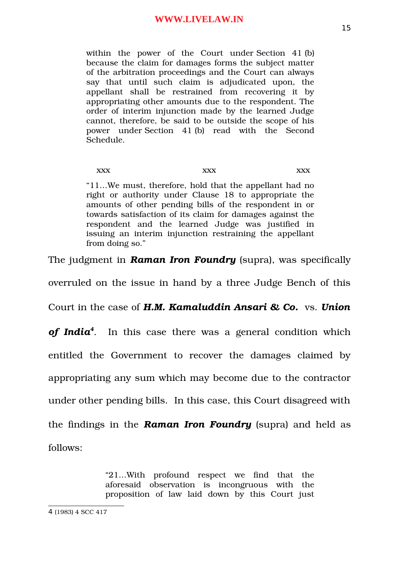within the power of the Court under Section 41 (b) because the claim for damages forms the subject matter of the arbitration proceedings and the Court can always say that until such claim is adjudicated upon, the appellant shall be restrained from recovering it by appropriating other amounts due to the respondent. The order of interim injunction made by the learned Judge cannot, therefore, be said to be outside the scope of his power under [Section 41](https://indiankanoon.org/doc/28932/) (b) read with the Second Schedule.

xxx xxx xxx xxx "11…We must, therefore, hold that the appellant had no right or authority under Clause 18 to appropriate the amounts of other pending bills of the respondent in or towards satisfaction of its claim for damages against the respondent and the learned Judge was justified in issuing an interim injunction restraining the appellant from doing so."

The judgment in **Raman Iron Foundry** (supra), was specifically

overruled on the issue in hand by a three Judge Bench of this

Court in the case of *H.M. Kamaluddin Ansari & Co.*  vs. *Union*

*of India[4](#page-14-0)* . In this case there was a general condition which

entitled the Government to recover the damages claimed by

appropriating any sum which may become due to the contractor

under other pending bills. In this case, this Court disagreed with

the findings in the *Raman Iron Foundry* (supra) and held as follows:

> "21…With profound respect we find that the aforesaid observation is incongruous with the proposition of law laid down by this Court just

<span id="page-14-0"></span><sup>4</sup> (1983) 4 SCC 417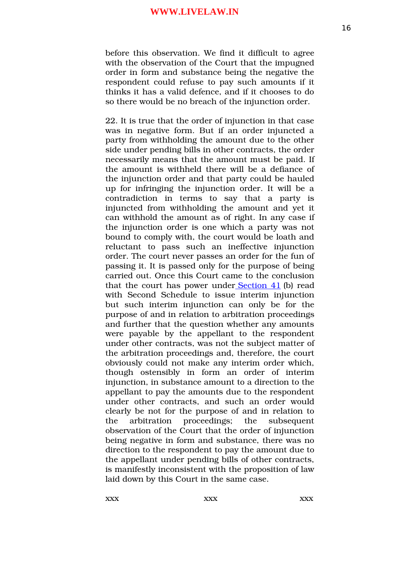before this observation. We find it difficult to agree with the observation of the Court that the impugned order in form and substance being the negative the respondent could refuse to pay such amounts if it thinks it has a valid defence, and if it chooses to do so there would be no breach of the injunction order.

22. It is true that the order of injunction in that case was in negative form. But if an order injuncted a party from withholding the amount due to the other side under pending bills in other contracts, the order necessarily means that the amount must be paid. If the amount is withheld there will be a defiance of the injunction order and that party could be hauled up for infringing the injunction order. It will be a contradiction in terms to say that a party is injuncted from withholding the amount and yet it can withhold the amount as of right. In any case if the injunction order is one which a party was not bound to comply with, the court would be loath and reluctant to pass such an ineffective injunction order. The court never passes an order for the fun of passing it. It is passed only for the purpose of being carried out. Once this Court came to the conclusion that the court has power under [Section 41](https://indiankanoon.org/doc/28932/) (b) read with Second Schedule to issue interim injunction but such interim injunction can only be for the purpose of and in relation to arbitration proceedings and further that the question whether any amounts were payable by the appellant to the respondent under other contracts, was not the subject matter of the arbitration proceedings and, therefore, the court obviously could not make any interim order which, though ostensibly in form an order of interim injunction, in substance amount to a direction to the appellant to pay the amounts due to the respondent under other contracts, and such an order would clearly be not for the purpose of and in relation to the arbitration proceedings; the subsequent observation of the Court that the order of injunction being negative in form and substance, there was no direction to the respondent to pay the amount due to the appellant under pending bills of other contracts, is manifestly inconsistent with the proposition of law laid down by this Court in the same case.

xxx xxx xxx xxx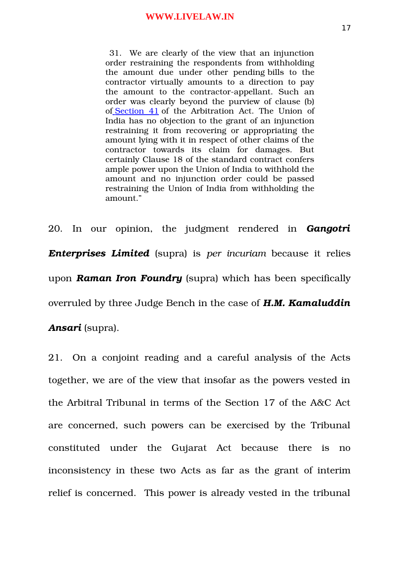31. We are clearly of the view that an injunction order restraining the respondents from withholding the amount due under other pending bills to the contractor virtually amounts to a direction to pay the amount to the contractor-appellant. Such an order was clearly beyond the purview of clause (b) of [Section 41](https://indiankanoon.org/doc/28932/) of the Arbitration Act. The Union of India has no objection to the grant of an injunction restraining it from recovering or appropriating the amount lying with it in respect of other claims of the contractor towards its claim for damages. But certainly Clause 18 of the standard contract confers ample power upon the Union of India to withhold the amount and no injunction order could be passed restraining the Union of India from withholding the amount."

20. In our opinion, the judgment rendered in *Gangotri Enterprises Limited* (supra) is *per incuriam* because it relies upon *Raman Iron Foundry* (supra) which has been specifically overruled by three Judge Bench in the case of *H.M. Kamaluddin*

*Ansari* (supra).

21. On a conjoint reading and a careful analysis of the Acts together, we are of the view that insofar as the powers vested in the Arbitral Tribunal in terms of the Section 17 of the A&C Act are concerned, such powers can be exercised by the Tribunal constituted under the Gujarat Act because there is no inconsistency in these two Acts as far as the grant of interim relief is concerned. This power is already vested in the tribunal